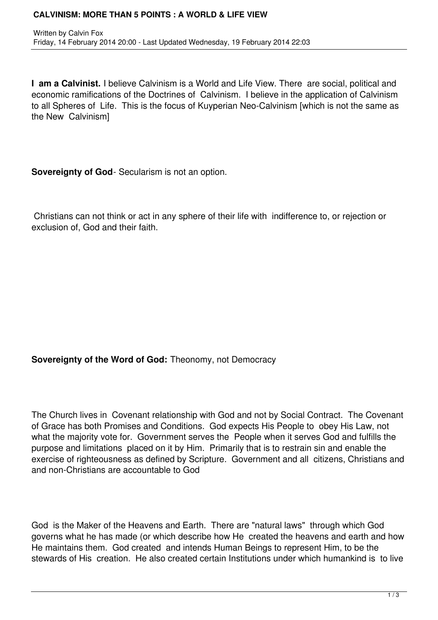#### **CALVINISM: MORE THAN 5 POINTS : A WORLD & LIFE VIEW**

**I am a Calvinist.** I believe Calvinism is a World and Life View. There are social, political and economic ramifications of the Doctrines of Calvinism. I believe in the application of Calvinism to all Spheres of Life. This is the focus of Kuyperian Neo-Calvinism [which is not the same as the New Calvinism]

**Sovereignty of God**- Secularism is not an option.

 Christians can not think or act in any sphere of their life with indifference to, or rejection or exclusion of, God and their faith.

# **Sovereignty of the Word of God:** Theonomy, not Democracy

The Church lives in Covenant relationship with God and not by Social Contract. The Covenant of Grace has both Promises and Conditions. God expects His People to obey His Law, not what the majority vote for. Government serves the People when it serves God and fulfills the purpose and limitations placed on it by Him. Primarily that is to restrain sin and enable the exercise of righteousness as defined by Scripture. Government and all citizens, Christians and and non-Christians are accountable to God

God is the Maker of the Heavens and Earth. There are "natural laws" through which God governs what he has made (or which describe how He created the heavens and earth and how He maintains them. God created and intends Human Beings to represent Him, to be the stewards of His creation. He also created certain Institutions under which humankind is to live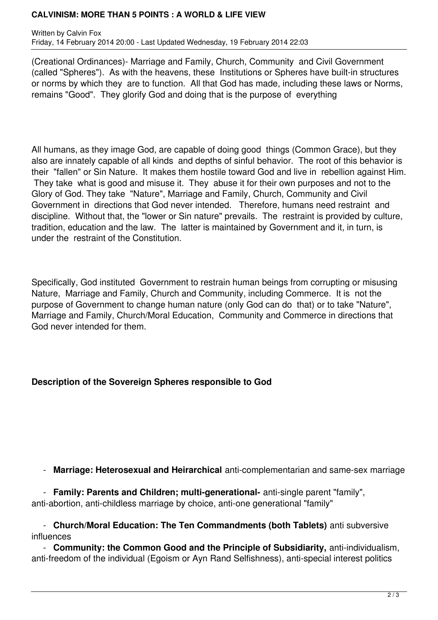### **CALVINISM: MORE THAN 5 POINTS : A WORLD & LIFE VIEW**

Written by Calvin Fox Friday, 14 February 2014 20:00 - Last Updated Wednesday, 19 February 2014 22:03

(Creational Ordinances)- Marriage and Family, Church, Community and Civil Government (called "Spheres"). As with the heavens, these Institutions or Spheres have built-in structures or norms by which they are to function. All that God has made, including these laws or Norms, remains "Good". They glorify God and doing that is the purpose of everything

All humans, as they image God, are capable of doing good things (Common Grace), but they also are innately capable of all kinds and depths of sinful behavior. The root of this behavior is their "fallen" or Sin Nature. It makes them hostile toward God and live in rebellion against Him. They take what is good and misuse it. They abuse it for their own purposes and not to the Glory of God. They take "Nature", Marriage and Family, Church, Community and Civil Government in directions that God never intended. Therefore, humans need restraint and discipline. Without that, the "lower or Sin nature" prevails. The restraint is provided by culture, tradition, education and the law. The latter is maintained by Government and it, in turn, is under the restraint of the Constitution.

Specifically, God instituted Government to restrain human beings from corrupting or misusing Nature, Marriage and Family, Church and Community, including Commerce. It is not the purpose of Government to change human nature (only God can do that) or to take "Nature", Marriage and Family, Church/Moral Education, Community and Commerce in directions that God never intended for them.

# **Description of the Sovereign Spheres responsible to God**

- **Marriage: Heterosexual and Heirarchical** anti-complementarian and same-sex marriage

 - **Family: Parents and Children; multi-generational-** anti-single parent "family", anti-abortion, anti-childless marriage by choice, anti-one generational "family"

 - **Church/Moral Education: The Ten Commandments (both Tablets)** anti subversive influences

 - **Community: the Common Good and the Principle of Subsidiarity,** anti-individualism, anti-freedom of the individual (Egoism or Ayn Rand Selfishness), anti-special interest politics